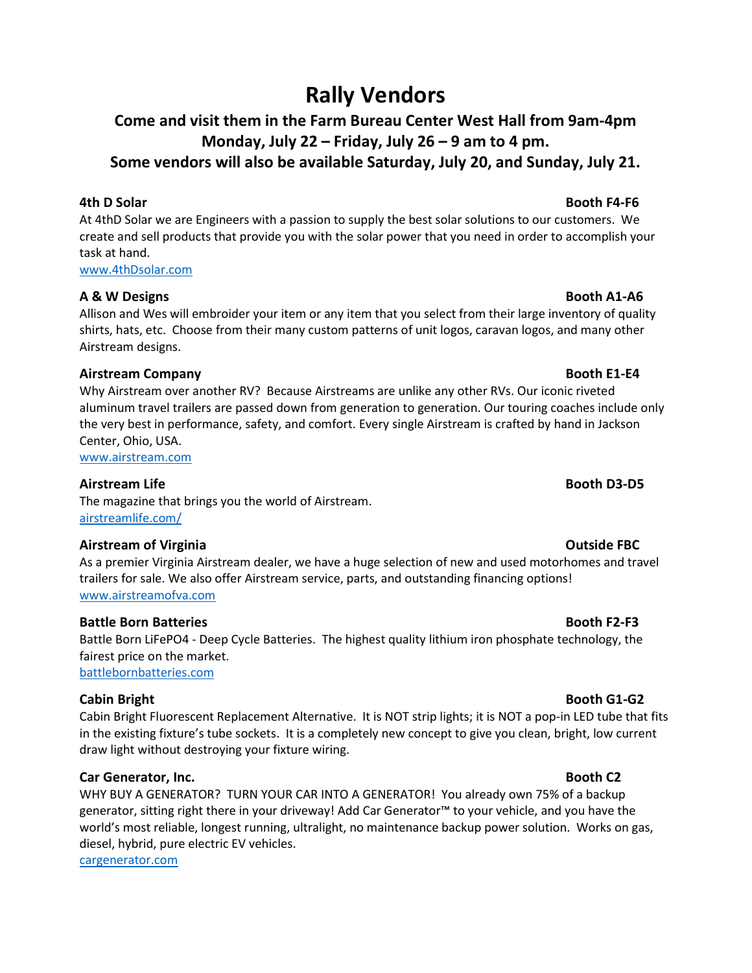# Rally Vendors

# Come and visit them in the Farm Bureau Center West Hall from 9am-4pm Monday, July 22 – Friday, July 26 – 9 am to 4 pm. Some vendors will also be available Saturday, July 20, and Sunday, July 21.

### 4th D Solar Booth F4-F6

At 4thD Solar we are Engineers with a passion to supply the best solar solutions to our customers. We create and sell products that provide you with the solar power that you need in order to accomplish your task at hand.

www.4thDsolar.com

### A & W Designs Booth A1-A6

Allison and Wes will embroider your item or any item that you select from their large inventory of quality shirts, hats, etc. Choose from their many custom patterns of unit logos, caravan logos, and many other Airstream designs.

### Airstream Company **Booth E1-E4**

Why Airstream over another RV? Because Airstreams are unlike any other RVs. Our iconic riveted aluminum travel trailers are passed down from generation to generation. Our touring coaches include only the very best in performance, safety, and comfort. Every single Airstream is crafted by hand in Jackson Center, Ohio, USA.

www.airstream.com

### Airstream Life Booth D3-D5

The magazine that brings you the world of Airstream. airstreamlife.com/

### Airstream of Virginia **Outside FBC**

As a premier Virginia Airstream dealer, we have a huge selection of new and used motorhomes and travel trailers for sale. We also offer Airstream service, parts, and outstanding financing options! www.airstreamofva.com

### Battle Born Batteries **Booth F2-F3**

Battle Born LiFePO4 - Deep Cycle Batteries. The highest quality lithium iron phosphate technology, the fairest price on the market. battlebornbatteries.com

### Cabin Bright Booth G1-G2

Cabin Bright Fluorescent Replacement Alternative. It is NOT strip lights; it is NOT a pop-in LED tube that fits in the existing fixture's tube sockets. It is a completely new concept to give you clean, bright, low current draw light without destroying your fixture wiring.

### **Car Generator, Inc.** Booth C2

WHY BUY A GENERATOR? TURN YOUR CAR INTO A GENERATOR! You already own 75% of a backup generator, sitting right there in your driveway! Add Car Generator™ to your vehicle, and you have the world's most reliable, longest running, ultralight, no maintenance backup power solution. Works on gas, diesel, hybrid, pure electric EV vehicles.

cargenerator.com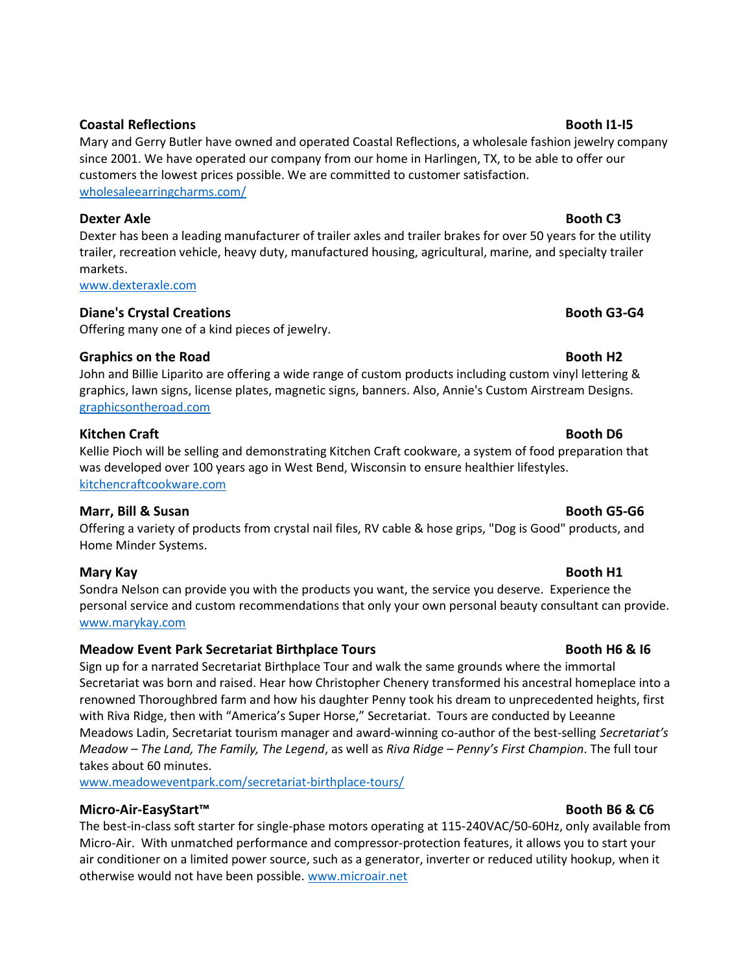## Coastal Reflections Booth I1-I5

Mary and Gerry Butler have owned and operated Coastal Reflections, a wholesale fashion jewelry company since 2001. We have operated our company from our home in Harlingen, TX, to be able to offer our customers the lowest prices possible. We are committed to customer satisfaction. wholesaleearringcharms.com/

**Dexter Axle** Booth C3

Dexter has been a leading manufacturer of trailer axles and trailer brakes for over 50 years for the utility trailer, recreation vehicle, heavy duty, manufactured housing, agricultural, marine, and specialty trailer markets.

www.dexteraxle.com

### Diane's Crystal Creations Booth G3-G4

Offering many one of a kind pieces of jewelry.

### Graphics on the Road Booth H2

John and Billie Liparito are offering a wide range of custom products including custom vinyl lettering & graphics, lawn signs, license plates, magnetic signs, banners. Also, Annie's Custom Airstream Designs. graphicsontheroad.com

### Kitchen Craft Booth D6

Kellie Pioch will be selling and demonstrating Kitchen Craft cookware, a system of food preparation that was developed over 100 years ago in West Bend, Wisconsin to ensure healthier lifestyles. kitchencraftcookware.com

### Marr, Bill & Susan Booth G5-G6

Offering a variety of products from crystal nail files, RV cable & hose grips, "Dog is Good" products, and Home Minder Systems.

### Mary Kay Booth H1

Sondra Nelson can provide you with the products you want, the service you deserve. Experience the personal service and custom recommendations that only your own personal beauty consultant can provide. www.marykay.com

### Meadow Event Park Secretariat Birthplace Tours Booth H6 & I6 Booth H6 & I6

Sign up for a narrated Secretariat Birthplace Tour and walk the same grounds where the immortal Secretariat was born and raised. Hear how Christopher Chenery transformed his ancestral homeplace into a renowned Thoroughbred farm and how his daughter Penny took his dream to unprecedented heights, first with Riva Ridge, then with "America's Super Horse," Secretariat. Tours are conducted by Leeanne Meadows Ladin, Secretariat tourism manager and award-winning co-author of the best-selling Secretariat's Meadow – The Land, The Family, The Legend, as well as Riva Ridge – Penny's First Champion. The full tour takes about 60 minutes.

www.meadoweventpark.com/secretariat-birthplace-tours/

### Micro-Air-EasyStart™ Booth B6 & C6

The best-in-class soft starter for single-phase motors operating at 115-240VAC/50-60Hz, only available from Micro-Air. With unmatched performance and compressor-protection features, it allows you to start your air conditioner on a limited power source, such as a generator, inverter or reduced utility hookup, when it otherwise would not have been possible. www.microair.net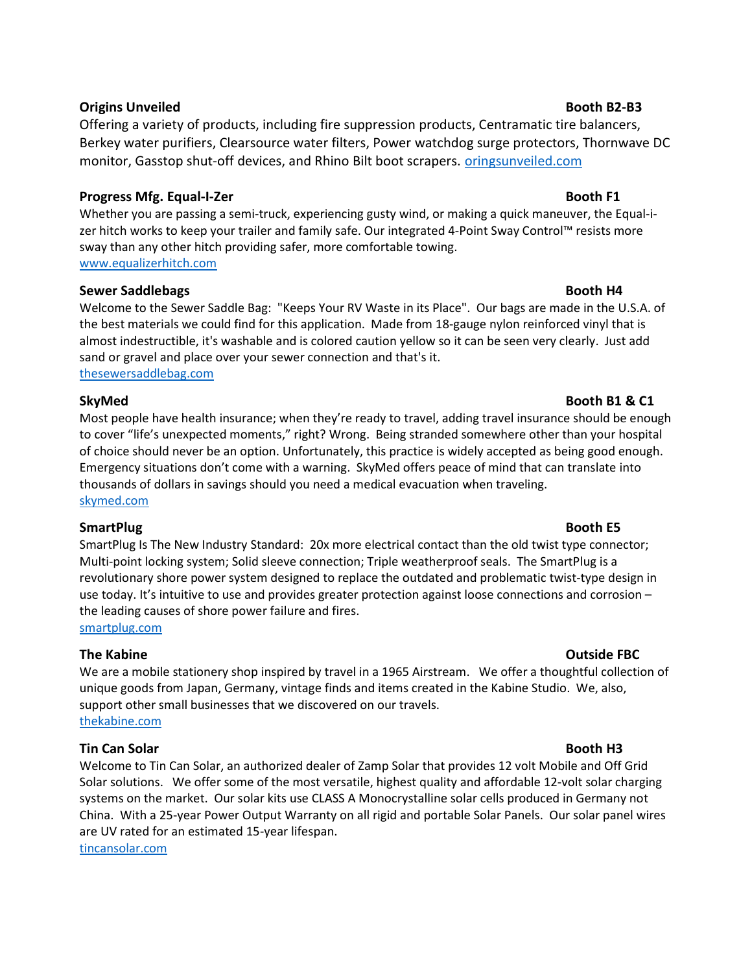### Origins Unveiled Booth B2-B3

Offering a variety of products, including fire suppression products, Centramatic tire balancers, Berkey water purifiers, Clearsource water filters, Power watchdog surge protectors, Thornwave DC monitor, Gasstop shut-off devices, and Rhino Bilt boot scrapers. oringsunveiled.com

### Progress Mfg. Equal-I-Zer Booth F1

Whether you are passing a semi-truck, experiencing gusty wind, or making a quick maneuver, the Equal-izer hitch works to keep your trailer and family safe. Our integrated 4-Point Sway Control™ resists more sway than any other hitch providing safer, more comfortable towing. www.equalizerhitch.com

### Sewer Saddlebags Booth H4

Welcome to the Sewer Saddle Bag: "Keeps Your RV Waste in its Place". Our bags are made in the U.S.A. of the best materials we could find for this application. Made from 18-gauge nylon reinforced vinyl that is almost indestructible, it's washable and is colored caution yellow so it can be seen very clearly. Just add sand or gravel and place over your sewer connection and that's it. thesewersaddlebag.com

Most people have health insurance; when they're ready to travel, adding travel insurance should be enough to cover "life's unexpected moments," right? Wrong. Being stranded somewhere other than your hospital of choice should never be an option. Unfortunately, this practice is widely accepted as being good enough. Emergency situations don't come with a warning. SkyMed offers peace of mind that can translate into thousands of dollars in savings should you need a medical evacuation when traveling. skymed.com

### SmartPlug Booth E5

SmartPlug Is The New Industry Standard: 20x more electrical contact than the old twist type connector; Multi-point locking system; Solid sleeve connection; Triple weatherproof seals. The SmartPlug is a revolutionary shore power system designed to replace the outdated and problematic twist-type design in use today. It's intuitive to use and provides greater protection against loose connections and corrosion – the leading causes of shore power failure and fires.

smartplug.com

### The Kabine Outside FBC

We are a mobile stationery shop inspired by travel in a 1965 Airstream. We offer a thoughtful collection of unique goods from Japan, Germany, vintage finds and items created in the Kabine Studio. We, also, support other small businesses that we discovered on our travels. thekabine.com

### Tin Can Solar Booth H3

Welcome to Tin Can Solar, an authorized dealer of Zamp Solar that provides 12 volt Mobile and Off Grid Solar solutions. We offer some of the most versatile, highest quality and affordable 12-volt solar charging systems on the market. Our solar kits use CLASS A Monocrystalline solar cells produced in Germany not China. With a 25-year Power Output Warranty on all rigid and portable Solar Panels. Our solar panel wires are UV rated for an estimated 15-year lifespan.

tincansolar.com

### SkyMed Booth B1 & C1